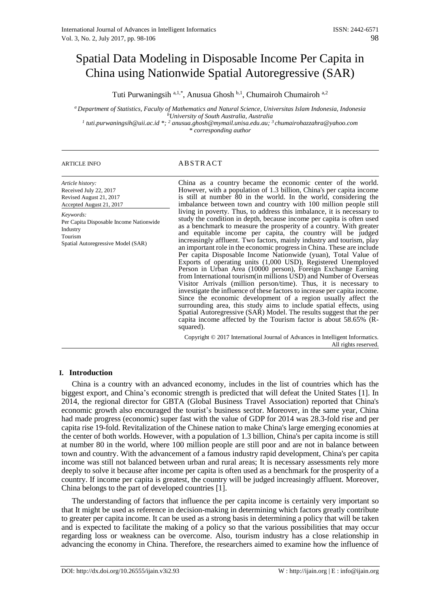# Spatial Data Modeling in Disposable Income Per Capita in China using Nationwide Spatial Autoregressive (SAR)

Tuti Purwaningsih <sup>a, 1,\*</sup>, Anusua Ghosh <sup>b, 1</sup>, Chumairoh Chumairoh <sup>a, 2</sup>

*<sup>a</sup> Department of Statistics, Faculty of Mathematics and Natural Science, Universitas Islam Indonesia, Indonesia <sup>b</sup>University of South Australia, Australia*

*1 tuti.purwaningsih@uii.ac.id \*; <sup>2</sup> anusua.ghosh@mymail.unisa.edu.au; <sup>3</sup>chumairohazzahra@yahoo.com \* corresponding author*

# ARTICLE INFO ABSTRACT

| Article history:<br>Received July 22, 2017<br>Revised August 21, 2017<br>Accepted August 21, 2017                 | China as a country became the economic center of the world.<br>However, with a population of 1.3 billion, China's per capita income<br>is still at number 80 in the world. In the world, considering the<br>imbalance between town and country with 100 million people still                                                                                                                                                                                                                                                                                                                                                                                                                                                                                                                                                                                                                                                                                                                                                                                                                                                                                          |
|-------------------------------------------------------------------------------------------------------------------|-----------------------------------------------------------------------------------------------------------------------------------------------------------------------------------------------------------------------------------------------------------------------------------------------------------------------------------------------------------------------------------------------------------------------------------------------------------------------------------------------------------------------------------------------------------------------------------------------------------------------------------------------------------------------------------------------------------------------------------------------------------------------------------------------------------------------------------------------------------------------------------------------------------------------------------------------------------------------------------------------------------------------------------------------------------------------------------------------------------------------------------------------------------------------|
| Keywords:<br>Per Capita Disposable Income Nationwide<br>Industry<br>Tourism<br>Spatial Autoregressive Model (SAR) | living in poverty. Thus, to address this imbalance, it is necessary to<br>study the condition in depth, because income per capita is often used<br>as a benchmark to measure the prosperity of a country. With greater<br>and equitable income per capita, the country will be judged<br>increasingly affluent. Two factors, mainly industry and tourism, play<br>an important role in the economic progress in China. These are include<br>Per capita Disposable Income Nationwide (yuan), Total Value of<br>Exports of operating units (1,000 USD), Registered Unemployed<br>Person in Urban Area (10000 person), Foreign Exchange Earning<br>from International tourism (in millions USD) and Number of Overseas<br>Visitor Arrivals (million person/time). Thus, it is necessary to<br>investigate the influence of these factors to increase per capita income.<br>Since the economic development of a region usually affect the<br>surrounding area, this study aims to include spatial effects, using<br>Spatial Autoregressive (SAR) Model. The results suggest that the per<br>capita income affected by the Tourism factor is about 58.65% (R-<br>squared). |
|                                                                                                                   | Copyright © 2017 International Journal of Advances in Intelligent Informatics.<br>All rights reserved.                                                                                                                                                                                                                                                                                                                                                                                                                                                                                                                                                                                                                                                                                                                                                                                                                                                                                                                                                                                                                                                                |

# **I. Introduction**

China is a country with an advanced economy, includes in the list of countries which has the biggest export, and China's economic strength is predicted that will defeat the United States [1]. In 2014, the regional director for GBTA (Global Business Travel Association) reported that China's economic growth also encouraged the tourist's business sector. Moreover, in the same year, China had made progress (economic) super fast with the value of GDP for 2014 was 28.3-fold rise and per capita rise 19-fold. Revitalization of the Chinese nation to make China's large emerging economies at the center of both worlds. However, with a population of 1.3 billion, China's per capita income is still at number 80 in the world, where 100 million people are still poor and are not in balance between town and country. With the advancement of a famous industry rapid development, China's per capita income was still not balanced between urban and rural areas; It is necessary assessments rely more deeply to solve it because after income per capita is often used as a benchmark for the prosperity of a country. If income per capita is greatest, the country will be judged increasingly affluent. Moreover, China belongs to the part of developed countries [1].

The understanding of factors that influence the per capita income is certainly very important so that It might be used as reference in decision-making in determining which factors greatly contribute to greater per capita income. It can be used as a strong basis in determining a policy that will be taken and is expected to facilitate the making of a policy so that the various possibilities that may occur regarding loss or weakness can be overcome. Also, tourism industry has a close relationship in advancing the economy in China. Therefore, the researchers aimed to examine how the influence of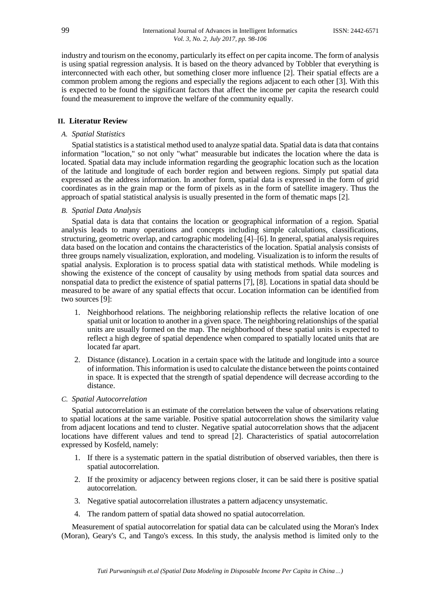industry and tourism on the economy, particularly its effect on per capita income. The form of analysis is using spatial regression analysis. It is based on the theory advanced by Tobbler that everything is interconnected with each other, but something closer more influence [2]. Their spatial effects are a common problem among the regions and especially the regions adjacent to each other [3]. With this is expected to be found the significant factors that affect the income per capita the research could found the measurement to improve the welfare of the community equally.

# **II. Literatur Review**

## *A. Spatial Statistics*

Spatial statistics is a statistical method used to analyze spatial data. Spatial data is data that contains information "location," so not only "what" measurable but indicates the location where the data is located. Spatial data may include information regarding the geographic location such as the location of the latitude and longitude of each border region and between regions. Simply put spatial data expressed as the address information. In another form, spatial data is expressed in the form of grid coordinates as in the grain map or the form of pixels as in the form of satellite imagery. Thus the approach of spatial statistical analysis is usually presented in the form of thematic maps [2].

# *B. Spatial Data Analysis*

Spatial data is data that contains the location or geographical information of a region. Spatial analysis leads to many operations and concepts including simple calculations, classifications, structuring, geometric overlap, and cartographic modeling [4]–[6]. In general, spatial analysis requires data based on the location and contains the characteristics of the location. Spatial analysis consists of three groups namely visualization, exploration, and modeling. Visualization is to inform the results of spatial analysis. Exploration is to process spatial data with statistical methods. While modeling is showing the existence of the concept of causality by using methods from spatial data sources and nonspatial data to predict the existence of spatial patterns [7], [8]. Locations in spatial data should be measured to be aware of any spatial effects that occur. Location information can be identified from two sources [9]:

- 1. Neighborhood relations. The neighboring relationship reflects the relative location of one spatial unit or location to another in a given space. The neighboring relationships of the spatial units are usually formed on the map. The neighborhood of these spatial units is expected to reflect a high degree of spatial dependence when compared to spatially located units that are located far apart.
- 2. Distance (distance). Location in a certain space with the latitude and longitude into a source of information. This information is used to calculate the distance between the points contained in space. It is expected that the strength of spatial dependence will decrease according to the distance.

# *C. Spatial Autocorrelation*

Spatial autocorrelation is an estimate of the correlation between the value of observations relating to spatial locations at the same variable. Positive spatial autocorrelation shows the similarity value from adjacent locations and tend to cluster. Negative spatial autocorrelation shows that the adjacent locations have different values and tend to spread [2]. Characteristics of spatial autocorrelation expressed by Kosfeld, namely:

- 1. If there is a systematic pattern in the spatial distribution of observed variables, then there is spatial autocorrelation.
- 2. If the proximity or adjacency between regions closer, it can be said there is positive spatial autocorrelation.
- 3. Negative spatial autocorrelation illustrates a pattern adjacency unsystematic.
- 4. The random pattern of spatial data showed no spatial autocorrelation.

Measurement of spatial autocorrelation for spatial data can be calculated using the Moran's Index (Moran), Geary's C, and Tango's excess. In this study, the analysis method is limited only to the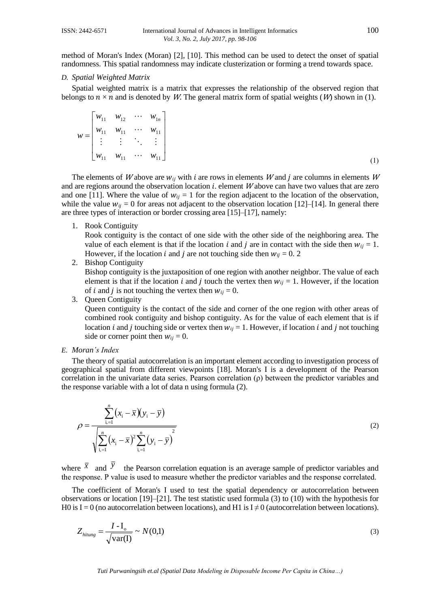method of Moran's Index (Moran) [2], [10]. This method can be used to detect the onset of spatial randomness. This spatial randomness may indicate clusterization or forming a trend towards space.

### *D. Spatial Weighted Matrix*

Spatial weighted matrix is a matrix that expresses the relationship of the observed region that belongs to  $n \times n$  and is denoted by W. The general matrix form of spatial weights (W) shown in (1).

$$
w = \begin{bmatrix} w_{11} & w_{12} & \cdots & w_{1n} \\ w_{11} & w_{11} & \cdots & w_{11} \\ \vdots & \vdots & \ddots & \vdots \\ w_{11} & w_{11} & \cdots & w_{11} \end{bmatrix}
$$
 (1)

The elements of W above are  $w_{ij}$  with i are rows in elements W and j are columns in elements W and are regions around the observation location  $i$ , element  $W$  above can have two values that are zero and one [11]. Where the value of  $w_{ii} = 1$  for the region adjacent to the location of the observation, while the value  $w_{ii} = 0$  for areas not adjacent to the observation location [12]–[14]. In general there are three types of interaction or border crossing area [15]–[17], namely:

1. Rook Contiguity

Rook contiguity is the contact of one side with the other side of the neighboring area. The value of each element is that if the location *i* and *j* are in contact with the side then  $w_{ij} = 1$ . However, if the location *i* and *j* are not touching side then  $w_{ij} = 0$ . 2

2. Bishop Contiguity

Bishop contiguity is the juxtaposition of one region with another neighbor. The value of each element is that if the location *i* and *j* touch the vertex then  $w_{ii} = 1$ . However, if the location of *i* and *j* is not touching the vertex then  $w_{ij} = 0$ .

3. Queen Contiguity

Queen contiguity is the contact of the side and corner of the one region with other areas of combined rook contiguity and bishop contiguity. As for the value of each element that is if location *i* and *j* touching side or vertex then  $w_{ij} = 1$ . However, if location *i* and *j* not touching side or corner point then  $w_{ij} = 0$ .

### *E. Moran's Index*

The theory of spatial autocorrelation is an important element according to investigation process of geographical spatial from different viewpoints [18]. Moran's I is a development of the Pearson correlation in the univariate data series. Pearson correlation (ρ) between the predictor variables and the response variable with a lot of data n using formula (2).

$$
\rho = \frac{\sum_{i=1}^{n} (x_i - \bar{x})(y_i - \bar{y})}{\sqrt{\sum_{i=1}^{n} (x_i - \bar{x})^2 \sum_{i=1}^{n} (y_i - \bar{y})^2}}
$$
\n(2)

where  $\bar{x}$  and  $\bar{y}$  the Pearson correlation equation is an average sample of predictor variables and the response. Ρ value is used to measure whether the predictor variables and the response correlated.

The coefficient of Moran's I used to test the spatial dependency or autocorrelation between observations or location [19]–[21]. The test statistic used formula (3) to (10) with the hypothesis for H0 is I = 0 (no autocorrelation between locations), and H1 is I  $\neq$  0 (autocorrelation between locations).

$$
Z_{hiung} = \frac{I - I_o}{\sqrt{\text{var(I)}}} \sim N(0,1) \tag{3}
$$

*Tuti Purwaningsih et.al (Spatial Data Modeling in Disposable Income Per Capita in China…)*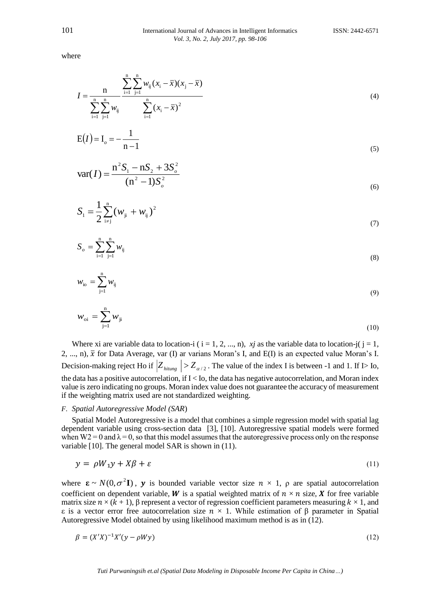where

$$
I = \frac{n}{\sum_{i=1}^{n} \sum_{j=1}^{n} w_{ij}} \frac{\sum_{i=1}^{n} \sum_{j=1}^{n} w_{ij} (x_i - \bar{x})(x_j - \bar{x})}{\sum_{i=1}^{n} (x_i - \bar{x})^2}
$$
(4)

$$
E(I) = I_o = -\frac{1}{n-1}
$$
\n<sup>(5)</sup>

$$
var(I) = \frac{n^2 S_1 - n S_2 + 3S_o^2}{(n^2 - 1)S_o^2}
$$
\n(6)

$$
S_{1} = \frac{1}{2} \sum_{i \neq j}^{n} (w_{ji} + w_{ij})^{2}
$$
 (7)

$$
S_o = \sum_{i=1}^{n} \sum_{j=1}^{n} w_{ij}
$$
 (8)

$$
w_{\rm io} = \sum_{j=1}^{n} w_{\rm ij} \tag{9}
$$

$$
w_{\rmoi} = \sum_{j=1}^{n} w_{ji} \tag{10}
$$

Where xi are variable data to location-i ( $i = 1, 2, ..., n$ ), *xj* as the variable data to location-j( $j = 1$ , 2, ..., n),  $\bar{x}$  for Data Average, var (I) ar varians Moran's I, and E(I) is an expected value Moran's I. Decision-making reject Ho if  $|Z_{\text{hitung}}| > Z_{\alpha/2}$ . The value of the index I is between -1 and 1. If I is lo, the data has a positive autocorrelation, if I < Io, the data has negative autocorrelation, and Moran index value is zero indicating no groups. Moran index value does not guarantee the accuracy of measurement if the weighting matrix used are not standardized weighting.

#### *F. Spatial Autoregressive Model (SAR*)

Spatial Model Autoregressive is a model that combines a simple regression model with spatial lag dependent variable using cross-section data [3], [10]. Autoregressive spatial models were formed when  $W2 = 0$  and  $\lambda = 0$ , so that this model assumes that the autoregressive process only on the response variable [10]. The general model SAR is shown in (11).

$$
y = \rho W_1 y + X\beta + \varepsilon \tag{11}
$$

where  $\mathbf{\varepsilon} \sim N(0, \sigma^2 \mathbf{I})$ , y is bounded variable vector size  $n \times 1$ ,  $\rho$  are spatial autocorrelation coefficient on dependent variable, W is a spatial weighted matrix of  $n \times n$  size, X for free variable matrix size  $n \times (k+1)$ , β represent a vector of regression coefficient parameters measuring  $k \times 1$ , and ε is a vector error free autocorrelation size  $n \times 1$ . While estimation of β parameter in Spatial Autoregressive Model obtained by using likelihood maximum method is as in (12).

$$
\beta = (X'X)^{-1}X'(y - \rho Wy) \tag{12}
$$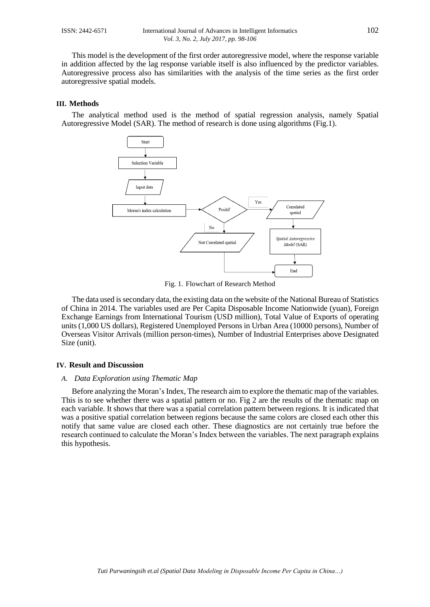This model is the development of the first order autoregressive model, where the response variable in addition affected by the lag response variable itself is also influenced by the predictor variables. Autoregressive process also has similarities with the analysis of the time series as the first order autoregressive spatial models.

#### **III. Methods**

The analytical method used is the method of spatial regression analysis, namely Spatial Autoregressive Model (SAR). The method of research is done using algorithms (Fig.1).



Fig. 1. Flowchart of Research Method

The data used is secondary data, the existing data on the website of the National Bureau of Statistics of China in 2014. The variables used are Per Capita Disposable Income Nationwide (yuan), Foreign Exchange Earnings from International Tourism (USD million), Total Value of Exports of operating units (1,000 US dollars), Registered Unemployed Persons in Urban Area (10000 persons), Number of Overseas Visitor Arrivals (million person-times), Number of Industrial Enterprises above Designated Size (unit).

#### **IV. Result and Discussion**

# *A. Data Exploration using Thematic Map*

Before analyzing the Moran's Index, The research aim to explore the thematic map of the variables. This is to see whether there was a spatial pattern or no. Fig 2 are the results of the thematic map on each variable. It shows that there was a spatial correlation pattern between regions. It is indicated that was a positive spatial correlation between regions because the same colors are closed each other this notify that same value are closed each other. These diagnostics are not certainly true before the research continued to calculate the Moran's Index between the variables. The next paragraph explains this hypothesis.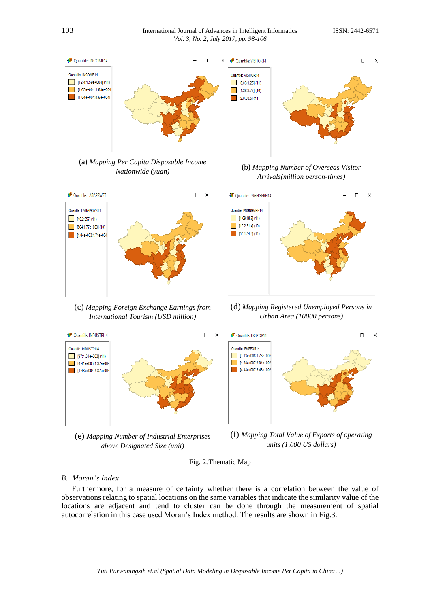# 103 International Journal of Advances in Intelligent InformaticsISSN: 2442-6571 *Vol. 3, No. 2, July 2017, pp. 98-106*

 $\Box$ 

 $\times$ 



45 Quantile: PNGNGGRN14

Quantile: PNGNGGRN14

 $1.69:18.7(11)$ 



(c) *Mapping Foreign Exchange Earnings from International Tourism (USD million)*



(e) *Mapping Number of Industrial Enterprises above Designated Size (unit)*



(d) *Mapping Registered Unemployed Persons in Urban Area (10000 persons)*



(f) *Mapping Total Value of Exports of operating units (1,000 US dollars)*



# *B. Moran's Index*

Quantile: INDUSTRI14

Furthermore, for a measure of certainty whether there is a correlation between the value of observations relating to spatial locations on the same variables that indicate the similarity value of the locations are adjacent and tend to cluster can be done through the measurement of spatial autocorrelation in this case used Moran's Index method. The results are shown in Fig.3.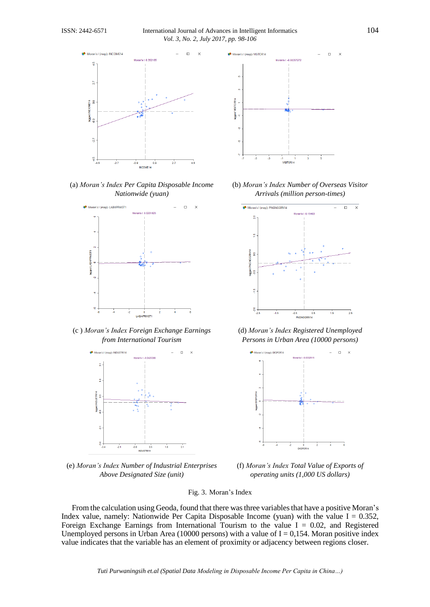

(a) *Moran's Index Per Capita Disposable Income Nationwide (yuan)*



(c ) *Moran's Index Foreign Exchange Earnings from International Tourism*



(e) *Moran's Index Number of Industrial Enterprises Above Designated Size (unit)*



(b) *Moran's Index Number of Overseas Visitor Arrivals (million person-times)*



(d) *Moran's Index Registered Unemployed Persons in Urban Area (10000 persons)*



(f) *Moran's Index Total Value of Exports of operating units (1,000 US dollars)*

# Fig. 3. Moran's Index

From the calculation using Geoda, found that there wasthree variables that have a positive Moran's Index value, namely: Nationwide Per Capita Disposable Income (yuan) with the value  $I = 0.352$ , Foreign Exchange Earnings from International Tourism to the value  $I = 0.02$ , and Registered Unemployed persons in Urban Area (10000 persons) with a value of  $I = 0,154$ . Moran positive index value indicates that the variable has an element of proximity or adjacency between regions closer.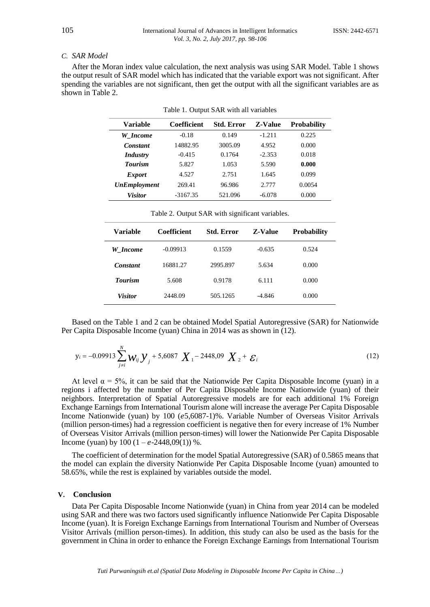#### *C. SAR Model*

After the Moran index value calculation, the next analysis was using SAR Model. Table 1 shows the output result of SAR model which has indicated that the variable export was not significant. After spending the variables are not significant, then get the output with all the significant variables are as shown in Table 2.

|  | Table 1. Output SAR with all variables |  |  |
|--|----------------------------------------|--|--|
|--|----------------------------------------|--|--|

| Variable            | Coefficient | <b>Std. Error</b> | <b>Z-Value</b> | <b>Probability</b> |
|---------------------|-------------|-------------------|----------------|--------------------|
| W Income            | $-0.18$     | 0.149             | $-1.211$       | 0.225              |
| Constant            | 14882.95    | 3005.09           | 4.952          | 0.000              |
| <b>Industry</b>     | $-0.415$    | 0.1764            | $-2.353$       | 0.018              |
| <b>Tourism</b>      | 5.827       | 1.053             | 5.590          | 0.000              |
| <i>Export</i>       | 4.527       | 2.751             | 1.645          | 0.099              |
| <b>UnEmployment</b> | 269.41      | 96.986            | 2.777          | 0.0054             |
| <b>Visitor</b>      | $-3167.35$  | 521.096           | $-6.078$       | 0.000              |

| Variable       | <b>Coefficient</b> | <b>Std. Error</b> | <b>Z-Value</b> | <b>Probability</b> |
|----------------|--------------------|-------------------|----------------|--------------------|
| W Income       | $-0.09913$         | 0.1559            | $-0.635$       | 0.524              |
| Constant       | 16881.27           | 2995.897          | 5.634          | 0.000              |
| <b>Tourism</b> | 5.608              | 0.9178            | 6.111          | 0.000              |
| <b>Visitor</b> | 2448.09            | 505.1265          | $-4.846$       | 0.000              |

Table 2. Output SAR with significant variables.

Based on the Table 1 and 2 can be obtained Model Spatial Autoregressive (SAR) for Nationwide Per Capita Disposable Income (yuan) China in 2014 was as shown in (12).

$$
y_i = -0.09913 \sum_{j \neq i}^{N} W_{ij} \, \mathcal{Y}_j + 5,6087 \, \mathcal{X}_1 - 2448,09 \, \mathcal{X}_2 + \mathcal{E}_i \tag{12}
$$

At level  $\alpha = 5\%$ , it can be said that the Nationwide Per Capita Disposable Income (yuan) in a regions i affected by the number of Per Capita Disposable Income Nationwide (yuan) of their neighbors. Interpretation of Spatial Autoregressive models are for each additional 1% Foreign Exchange Earnings from International Tourism alone will increase the average Per Capita Disposable Income Nationwide (yuan) by 100 (e5,6087-1)%. Variable Number of Overseas Visitor Arrivals (million person-times) had a regression coefficient is negative then for every increase of 1% Number of Overseas Visitor Arrivals (million person-times) will lower the Nationwide Per Capita Disposable Income (yuan) by  $100 (1 - e^{-2448,09(1)})$ %.

The coefficient of determination for the model Spatial Autoregressive (SAR) of 0.5865 means that the model can explain the diversity Nationwide Per Capita Disposable Income (yuan) amounted to 58.65%, while the rest is explained by variables outside the model.

### **V. Conclusion**

Data Per Capita Disposable Income Nationwide (yuan) in China from year 2014 can be modeled using SAR and there was two factors used significantly influence Nationwide Per Capita Disposable Income (yuan). It is Foreign Exchange Earnings from International Tourism and Number of Overseas Visitor Arrivals (million person-times). In addition, this study can also be used as the basis for the government in China in order to enhance the Foreign Exchange Earnings from International Tourism